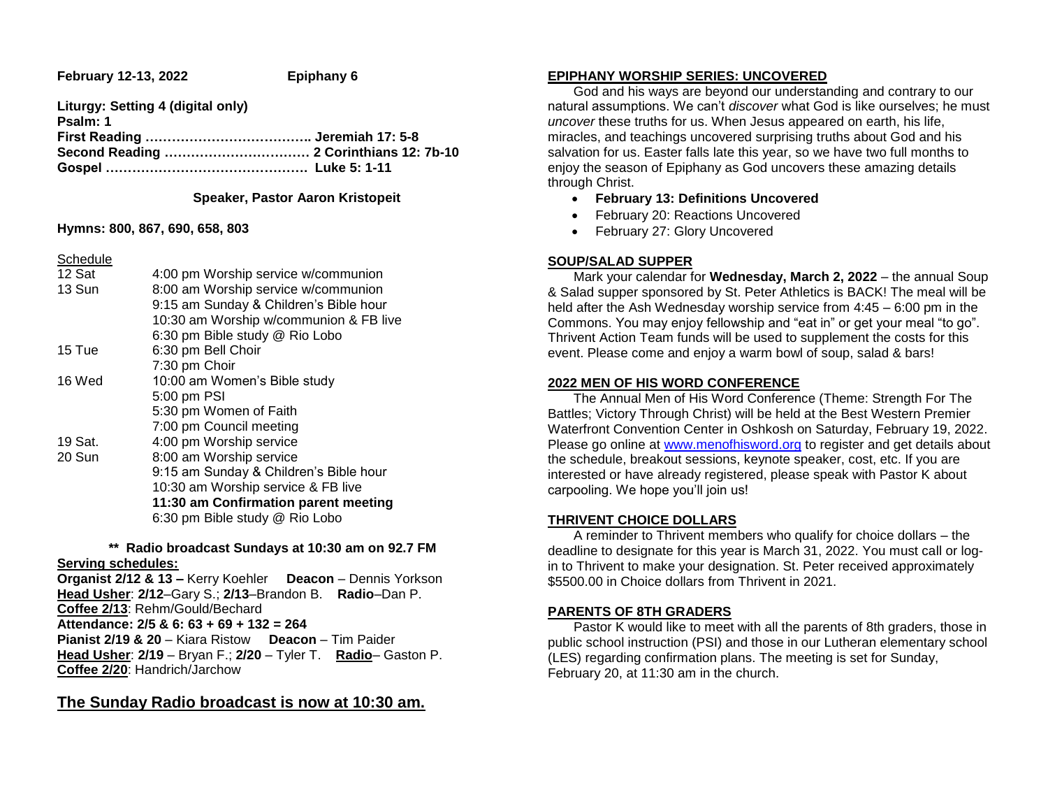**February 12-13, 2022 Epiphany 6** 

**Liturgy: Setting 4 (digital only) Psalm: 1 First Reading ……………………………….. Jeremiah 17: 5-8 Second Reading …………………………… 2 Corinthians 12: 7b-10 Gospel ………………………………………. Luke 5: 1-11**

## **Speaker, Pastor Aaron Kristopeit**

#### **Hymns: 800, 867, 690, 658, 803**

Schedule

| 12 Sat  | 4:00 pm Worship service w/communion    |
|---------|----------------------------------------|
| 13 Sun  | 8:00 am Worship service w/communion    |
|         | 9:15 am Sunday & Children's Bible hour |
|         | 10:30 am Worship w/communion & FB live |
|         | 6:30 pm Bible study @ Rio Lobo         |
| 15 Tue  | 6:30 pm Bell Choir                     |
|         | 7:30 pm Choir                          |
| 16 Wed  | 10:00 am Women's Bible study           |
|         | 5:00 pm PSI                            |
|         | 5:30 pm Women of Faith                 |
|         | 7:00 pm Council meeting                |
| 19 Sat. | 4:00 pm Worship service                |
| 20 Sun  | 8:00 am Worship service                |
|         | 9:15 am Sunday & Children's Bible hour |
|         | 10:30 am Worship service & FB live     |
|         | 11:30 am Confirmation parent meeting   |
|         | 6:30 pm Bible study @ Rio Lobo         |
|         |                                        |

 **\*\* Radio broadcast Sundays at 10:30 am on 92.7 FM Serving schedules:**

**Organist 2/12 & 13 –** Kerry Koehler **Deacon** – Dennis Yorkson **Head Usher**: **2/12**–Gary S.; **2/13**–Brandon B. **Radio**–Dan P. **Coffee 2/13**: Rehm/Gould/Bechard **Attendance: 2/5 & 6: 63 + 69 + 132 = 264 Pianist 2/19 & 20** – Kiara Ristow **Deacon** – Tim Paider **Head Usher**: **2/19** – Bryan F.; **2/20** – Tyler T. **Radio**– Gaston P. **Coffee 2/20**: Handrich/Jarchow

## **The Sunday Radio broadcast is now at 10:30 am.**

## **EPIPHANY WORSHIP SERIES: UNCOVERED**

 God and his ways are beyond our understanding and contrary to our natural assumptions. We can't *discover* what God is like ourselves; he must *uncover* these truths for us. When Jesus appeared on earth, his life, miracles, and teachings uncovered surprising truths about God and his salvation for us. Easter falls late this year, so we have two full months to enjoy the season of Epiphany as God uncovers these amazing details through Christ.

- **February 13: Definitions Uncovered**
- February 20: Reactions Uncovered
- February 27: Glory Uncovered

## **SOUP/SALAD SUPPER**

 Mark your calendar for **Wednesday, March 2, 2022** – the annual Soup & Salad supper sponsored by St. Peter Athletics is BACK! The meal will be held after the Ash Wednesday worship service from 4:45 – 6:00 pm in the Commons. You may enjoy fellowship and "eat in" or get your meal "to go". Thrivent Action Team funds will be used to supplement the costs for this event. Please come and enjoy a warm bowl of soup, salad & bars!

## **2022 MEN OF HIS WORD CONFERENCE**

 The Annual Men of His Word Conference (Theme: Strength For The Battles; Victory Through Christ) will be held at the Best Western Premier Waterfront Convention Center in Oshkosh on Saturday, February 19, 2022. Please go online at [www.menofhisword.org](http://www.menofhisword.org/) to register and get details about the schedule, breakout sessions, keynote speaker, cost, etc. If you are interested or have already registered, please speak with Pastor K about carpooling. We hope you'll join us!

## **THRIVENT CHOICE DOLLARS**

 A reminder to Thrivent members who qualify for choice dollars – the deadline to designate for this year is March 31, 2022. You must call or login to Thrivent to make your designation. St. Peter received approximately \$5500.00 in Choice dollars from Thrivent in 2021.

## **PARENTS OF 8TH GRADERS**

 Pastor K would like to meet with all the parents of 8th graders, those in public school instruction (PSI) and those in our Lutheran elementary school (LES) regarding confirmation plans. The meeting is set for Sunday, February 20, at 11:30 am in the church.